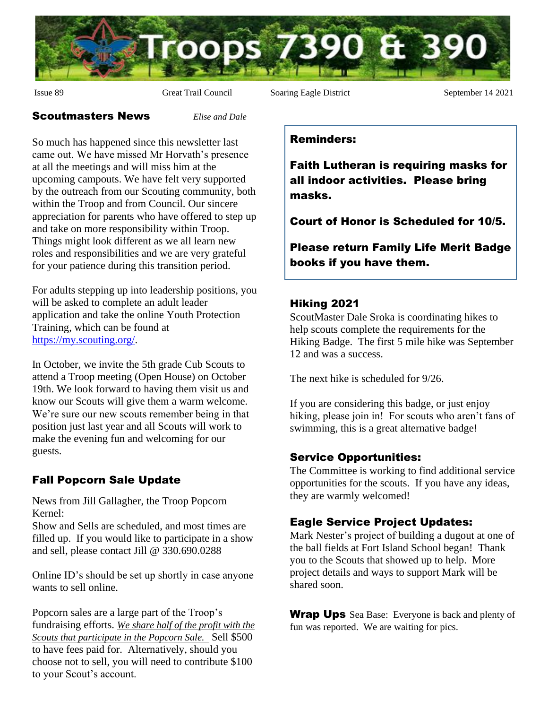

Issue 89 Great Trail Council Soaring Eagle District September 14 2021

#### Scoutmasters News *Elise and Dale*

So much has happened since this newsletter last came out. We have missed Mr Horvath's presence at all the meetings and will miss him at the upcoming campouts. We have felt very supported by the outreach from our Scouting community, both within the Troop and from Council. Our sincere appreciation for parents who have offered to step up and take on more responsibility within Troop. Things might look different as we all learn new roles and responsibilities and we are very grateful for your patience during this transition period.

For adults stepping up into leadership positions, you will be asked to complete an adult leader application and take the online Youth Protection Training, which can be found at [https://my.scouting.org/.](https://my.scouting.org/)

In October, we invite the 5th grade Cub Scouts to attend a Troop meeting (Open House) on October 19th. We look forward to having them visit us and know our Scouts will give them a warm welcome. We're sure our new scouts remember being in that position just last year and all Scouts will work to make the evening fun and welcoming for our guests.

# Fall Popcorn Sale Update

News from Jill Gallagher, the Troop Popcorn Kernel:

Show and Sells are scheduled, and most times are filled up. If you would like to participate in a show and sell, please contact Jill @ 330.690.0288

Online ID's should be set up shortly in case anyone wants to sell online.

Popcorn sales are a large part of the Troop's fundraising efforts. *We share half of the profit with the Scouts that participate in the Popcorn Sale.* Sell \$500 to have fees paid for. Alternatively, should you choose not to sell, you will need to contribute \$100 to your Scout's account.

#### Reminders:

Faith Lutheran is requiring masks for all indoor activities. Please bring masks.

Court of Honor is Scheduled for 10/5.

Please return Family Life Merit Badge books if you have them.

### Hiking 2021

ScoutMaster Dale Sroka is coordinating hikes to help scouts complete the requirements for the Hiking Badge. The first 5 mile hike was September 12 and was a success.

The next hike is scheduled for 9/26.

If you are considering this badge, or just enjoy hiking, please join in! For scouts who aren't fans of swimming, this is a great alternative badge!

## Service Opportunities:

The Committee is working to find additional service opportunities for the scouts. If you have any ideas, they are warmly welcomed!

## Eagle Service Project Updates:

Mark Nester's project of building a dugout at one of the ball fields at Fort Island School began! Thank you to the Scouts that showed up to help. More project details and ways to support Mark will be shared soon.

**Wrap Ups** Sea Base: Everyone is back and plenty of fun was reported. We are waiting for pics.